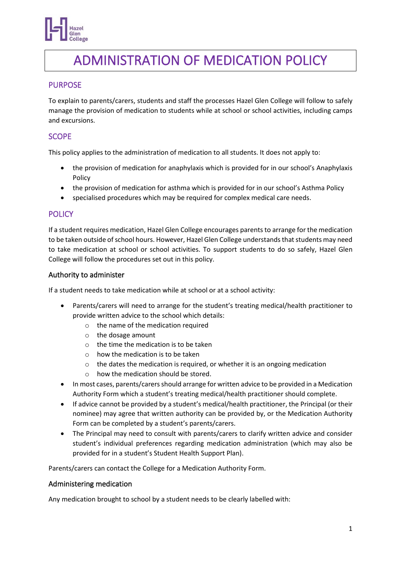

# ADMINISTRATION OF MEDICATION POLICY

## PURPOSE

To explain to parents/carers, students and staff the processes Hazel Glen College will follow to safely manage the provision of medication to students while at school or school activities, including camps and excursions.

## **SCOPE**

This policy applies to the administration of medication to all students. It does not apply to:

- the provision of medication for anaphylaxis which is provided for in our school's Anaphylaxis Policy
- the provision of medication for asthma which is provided for in our school's Asthma Policy
- specialised procedures which may be required for complex medical care needs.

### **POLICY**

If a student requires medication, Hazel Glen College encourages parents to arrange for the medication to be taken outside of school hours. However, Hazel Glen College understands that students may need to take medication at school or school activities. To support students to do so safely, Hazel Glen College will follow the procedures set out in this policy.

### Authority to administer

If a student needs to take medication while at school or at a school activity:

- Parents/carers will need to arrange for the student's treating medical/health practitioner to provide written advice to the school which details:
	- o the name of the medication required
	- o the dosage amount
	- o the time the medication is to be taken
	- o how the medication is to be taken
	- o the dates the medication is required, or whether it is an ongoing medication
	- o how the medication should be stored.
- In most cases, parents/carers should arrange for written advice to be provided in a Medication Authority Form which a student's treating medical/health practitioner should complete.
- If advice cannot be provided by a student's medical/health practitioner, the Principal (or their nominee) may agree that written authority can be provided by, or the Medication Authority Form can be completed by a student's parents/carers.
- The Principal may need to consult with parents/carers to clarify written advice and consider student's individual preferences regarding medication administration (which may also be provided for in a student's Student Health Support Plan).

Parents/carers can contact the College for a Medication Authority Form.

#### Administering medication

Any medication brought to school by a student needs to be clearly labelled with: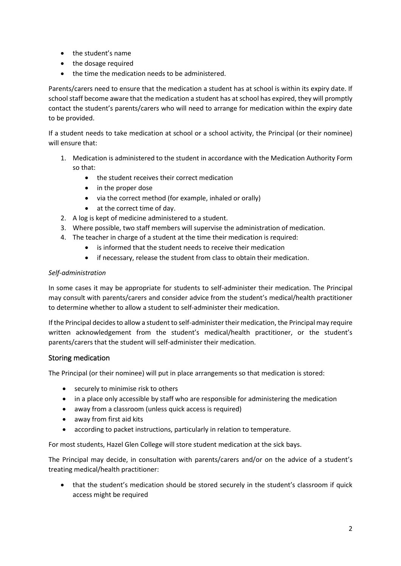- the student's name
- the dosage required
- the time the medication needs to be administered.

Parents/carers need to ensure that the medication a student has at school is within its expiry date. If school staff become aware that the medication a student has at school has expired, they will promptly contact the student's parents/carers who will need to arrange for medication within the expiry date to be provided.

If a student needs to take medication at school or a school activity, the Principal (or their nominee) will ensure that:

- 1. Medication is administered to the student in accordance with the Medication Authority Form so that:
	- the student receives their correct medication
	- in the proper dose
	- via the correct method (for example, inhaled or orally)
	- at the correct time of day.
- 2. A log is kept of medicine administered to a student.
- 3. Where possible, two staff members will supervise the administration of medication.
- 4. The teacher in charge of a student at the time their medication is required:
	- is informed that the student needs to receive their medication
	- if necessary, release the student from class to obtain their medication.

### *Self-administration*

In some cases it may be appropriate for students to self-administer their medication. The Principal may consult with parents/carers and consider advice from the student's medical/health practitioner to determine whether to allow a student to self-administer their medication.

If the Principal decides to allow a student to self-administer their medication, the Principal may require written acknowledgement from the student's medical/health practitioner, or the student's parents/carers that the student will self-administer their medication.

## Storing medication

The Principal (or their nominee) will put in place arrangements so that medication is stored:

- securely to minimise risk to others
- in a place only accessible by staff who are responsible for administering the medication
- away from a classroom (unless quick access is required)
- away from first aid kits
- according to packet instructions, particularly in relation to temperature.

For most students, Hazel Glen College will store student medication at the sick bays.

The Principal may decide, in consultation with parents/carers and/or on the advice of a student's treating medical/health practitioner:

• that the student's medication should be stored securely in the student's classroom if quick access might be required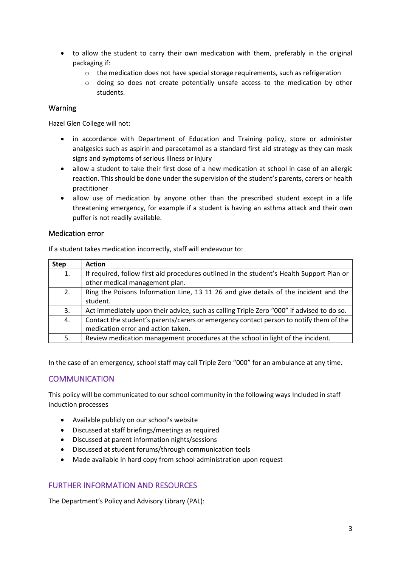- to allow the student to carry their own medication with them, preferably in the original packaging if:
	- $\circ$  the medication does not have special storage requirements, such as refrigeration
	- o doing so does not create potentially unsafe access to the medication by other students.

### Warning

Hazel Glen College will not:

- in accordance with Department of Education and Training policy, store or administer analgesics such as aspirin and paracetamol as a standard first aid strategy as they can mask signs and symptoms of serious illness or injury
- allow a student to take their first dose of a new medication at school in case of an allergic reaction. This should be done under the supervision of the student's parents, carers or health practitioner
- allow use of medication by anyone other than the prescribed student except in a life threatening emergency, for example if a student is having an asthma attack and their own puffer is not readily available.

#### Medication error

If a student takes medication incorrectly, staff will endeavour to:

| <b>Step</b> | <b>Action</b>                                                                                                                |
|-------------|------------------------------------------------------------------------------------------------------------------------------|
| 1.          | If required, follow first aid procedures outlined in the student's Health Support Plan or<br>other medical management plan.  |
| 2.          | Ring the Poisons Information Line, 13 11 26 and give details of the incident and the<br>student.                             |
| 3.          | Act immediately upon their advice, such as calling Triple Zero "000" if advised to do so.                                    |
| 4.          | Contact the student's parents/carers or emergency contact person to notify them of the<br>medication error and action taken. |
| 5.          | Review medication management procedures at the school in light of the incident.                                              |

In the case of an emergency, school staff may call Triple Zero "000" for an ambulance at any time.

## **COMMUNICATION**

This policy will be communicated to our school community in the following ways Included in staff induction processes

- Available publicly on our school's website
- Discussed at staff briefings/meetings as required
- Discussed at parent information nights/sessions
- Discussed at student forums/through communication tools
- Made available in hard copy from school administration upon request

## FURTHER INFORMATION AND RESOURCES

The Department's Policy and Advisory Library (PAL):